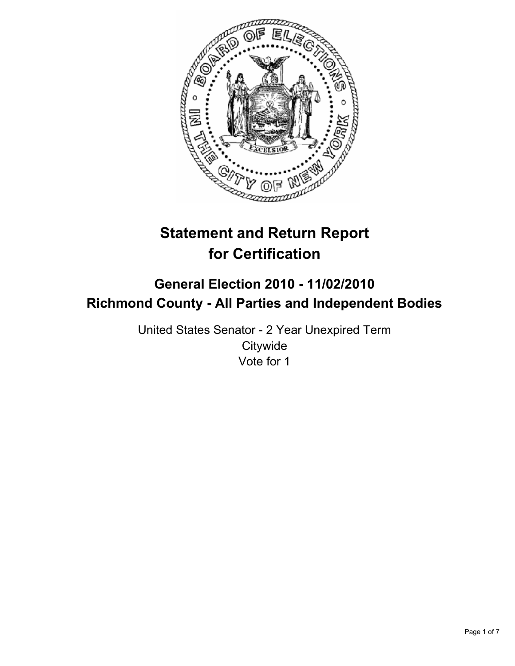

# **Statement and Return Report for Certification**

## **General Election 2010 - 11/02/2010 Richmond County - All Parties and Independent Bodies**

United States Senator - 2 Year Unexpired Term **Citywide** Vote for 1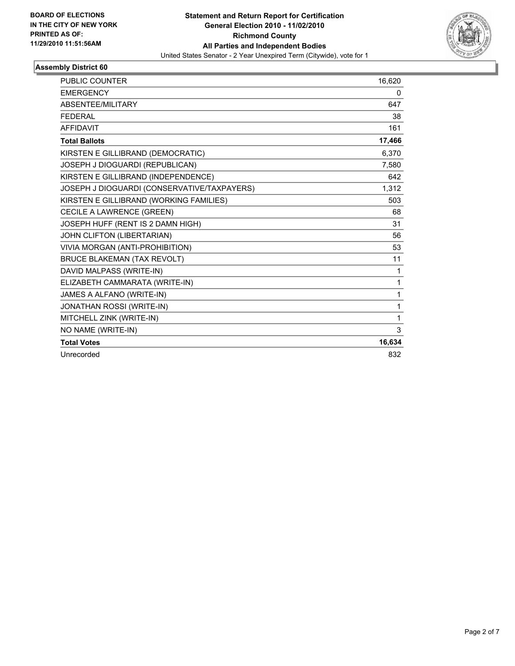

| <b>PUBLIC COUNTER</b>                       | 16,620 |
|---------------------------------------------|--------|
| <b>EMERGENCY</b>                            | 0      |
| ABSENTEE/MILITARY                           | 647    |
| <b>FEDERAL</b>                              | 38     |
| <b>AFFIDAVIT</b>                            | 161    |
| <b>Total Ballots</b>                        | 17,466 |
| KIRSTEN E GILLIBRAND (DEMOCRATIC)           | 6,370  |
| JOSEPH J DIOGUARDI (REPUBLICAN)             | 7,580  |
| KIRSTEN E GILLIBRAND (INDEPENDENCE)         | 642    |
| JOSEPH J DIOGUARDI (CONSERVATIVE/TAXPAYERS) | 1,312  |
| KIRSTEN E GILLIBRAND (WORKING FAMILIES)     | 503    |
| CECILE A LAWRENCE (GREEN)                   | 68     |
| JOSEPH HUFF (RENT IS 2 DAMN HIGH)           | 31     |
| JOHN CLIFTON (LIBERTARIAN)                  | 56     |
| VIVIA MORGAN (ANTI-PROHIBITION)             | 53     |
| <b>BRUCE BLAKEMAN (TAX REVOLT)</b>          | 11     |
| DAVID MALPASS (WRITE-IN)                    | 1      |
| ELIZABETH CAMMARATA (WRITE-IN)              | 1      |
| JAMES A ALFANO (WRITE-IN)                   | 1      |
| JONATHAN ROSSI (WRITE-IN)                   | 1      |
| MITCHELL ZINK (WRITE-IN)                    | 1      |
| NO NAME (WRITE-IN)                          | 3      |
| <b>Total Votes</b>                          | 16,634 |
| Unrecorded                                  | 832    |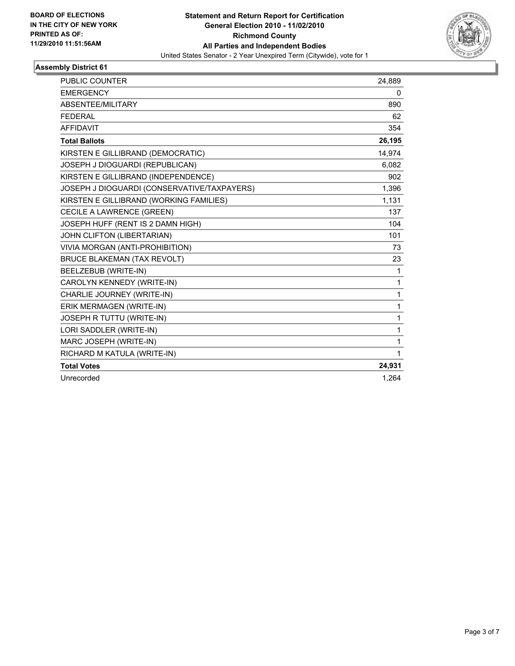

| <b>PUBLIC COUNTER</b>                       | 24,889       |
|---------------------------------------------|--------------|
| <b>EMERGENCY</b>                            | 0            |
| ABSENTEE/MILITARY                           | 890          |
| <b>FEDERAL</b>                              | 62           |
| <b>AFFIDAVIT</b>                            | 354          |
| <b>Total Ballots</b>                        | 26,195       |
| KIRSTEN E GILLIBRAND (DEMOCRATIC)           | 14,974       |
| JOSEPH J DIOGUARDI (REPUBLICAN)             | 6,082        |
| KIRSTEN E GILLIBRAND (INDEPENDENCE)         | 902          |
| JOSEPH J DIOGUARDI (CONSERVATIVE/TAXPAYERS) | 1,396        |
| KIRSTEN E GILLIBRAND (WORKING FAMILIES)     | 1,131        |
| CECILE A LAWRENCE (GREEN)                   | 137          |
| JOSEPH HUFF (RENT IS 2 DAMN HIGH)           | 104          |
| JOHN CLIFTON (LIBERTARIAN)                  | 101          |
| VIVIA MORGAN (ANTI-PROHIBITION)             | 73           |
| <b>BRUCE BLAKEMAN (TAX REVOLT)</b>          | 23           |
| BEELZEBUB (WRITE-IN)                        | 1            |
| CAROLYN KENNEDY (WRITE-IN)                  | 1            |
| CHARLIE JOURNEY (WRITE-IN)                  | 1            |
| ERIK MERMAGEN (WRITE-IN)                    | $\mathbf{1}$ |
| JOSEPH R TUTTU (WRITE-IN)                   | 1            |
| LORI SADDLER (WRITE-IN)                     | $\mathbf{1}$ |
| MARC JOSEPH (WRITE-IN)                      | $\mathbf{1}$ |
| RICHARD M KATULA (WRITE-IN)                 | $\mathbf{1}$ |
| <b>Total Votes</b>                          | 24,931       |
| Unrecorded                                  | 1,264        |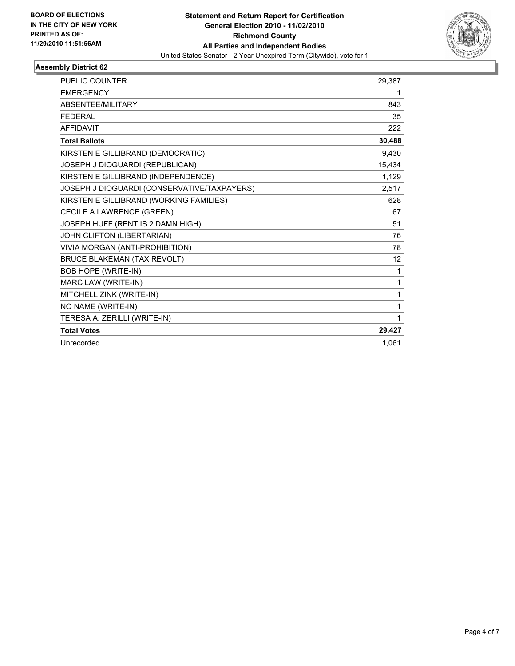

| <b>PUBLIC COUNTER</b>                       | 29,387 |
|---------------------------------------------|--------|
| <b>EMERGENCY</b>                            | 1      |
| <b>ABSENTEE/MILITARY</b>                    | 843    |
| <b>FEDERAL</b>                              | 35     |
| <b>AFFIDAVIT</b>                            | 222    |
| <b>Total Ballots</b>                        | 30,488 |
| KIRSTEN E GILLIBRAND (DEMOCRATIC)           | 9.430  |
| JOSEPH J DIOGUARDI (REPUBLICAN)             | 15,434 |
| KIRSTEN E GILLIBRAND (INDEPENDENCE)         | 1,129  |
| JOSEPH J DIOGUARDI (CONSERVATIVE/TAXPAYERS) | 2,517  |
| KIRSTEN E GILLIBRAND (WORKING FAMILIES)     | 628    |
| CECILE A LAWRENCE (GREEN)                   | 67     |
| JOSEPH HUFF (RENT IS 2 DAMN HIGH)           | 51     |
| JOHN CLIFTON (LIBERTARIAN)                  | 76     |
| VIVIA MORGAN (ANTI-PROHIBITION)             | 78     |
| <b>BRUCE BLAKEMAN (TAX REVOLT)</b>          | 12     |
| <b>BOB HOPE (WRITE-IN)</b>                  | 1      |
| MARC LAW (WRITE-IN)                         | 1      |
| MITCHELL ZINK (WRITE-IN)                    | 1      |
| NO NAME (WRITE-IN)                          | 1      |
| TERESA A. ZERILLI (WRITE-IN)                | 1      |
| <b>Total Votes</b>                          | 29,427 |
| Unrecorded                                  | 1.061  |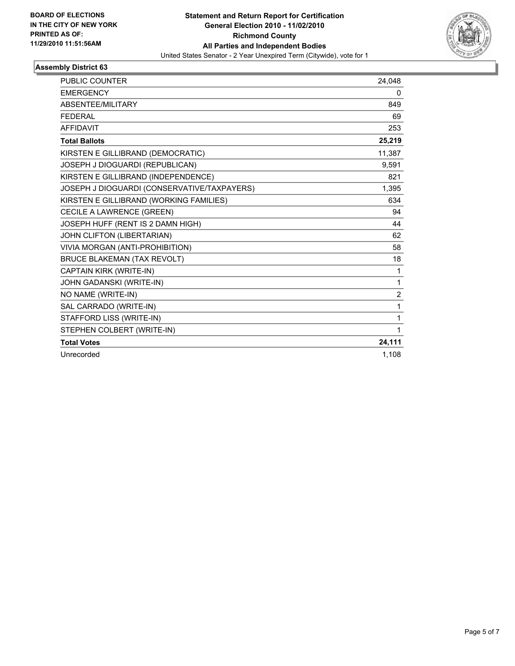

| <b>PUBLIC COUNTER</b>                       | 24,048         |
|---------------------------------------------|----------------|
| <b>EMERGENCY</b>                            | 0              |
| ABSENTEE/MILITARY                           | 849            |
| <b>FEDERAL</b>                              | 69             |
| <b>AFFIDAVIT</b>                            | 253            |
| <b>Total Ballots</b>                        | 25,219         |
| KIRSTEN E GILLIBRAND (DEMOCRATIC)           | 11,387         |
| JOSEPH J DIOGUARDI (REPUBLICAN)             | 9,591          |
| KIRSTEN E GILLIBRAND (INDEPENDENCE)         | 821            |
| JOSEPH J DIOGUARDI (CONSERVATIVE/TAXPAYERS) | 1,395          |
| KIRSTEN E GILLIBRAND (WORKING FAMILIES)     | 634            |
| CECILE A LAWRENCE (GREEN)                   | 94             |
| JOSEPH HUFF (RENT IS 2 DAMN HIGH)           | 44             |
| JOHN CLIFTON (LIBERTARIAN)                  | 62             |
| VIVIA MORGAN (ANTI-PROHIBITION)             | 58             |
| <b>BRUCE BLAKEMAN (TAX REVOLT)</b>          | 18             |
| CAPTAIN KIRK (WRITE-IN)                     | 1              |
| JOHN GADANSKI (WRITE-IN)                    | 1              |
| NO NAME (WRITE-IN)                          | $\overline{2}$ |
| SAL CARRADO (WRITE-IN)                      | 1              |
| STAFFORD LISS (WRITE-IN)                    | 1              |
| STEPHEN COLBERT (WRITE-IN)                  | 1              |
| <b>Total Votes</b>                          | 24,111         |
| Unrecorded                                  | 1,108          |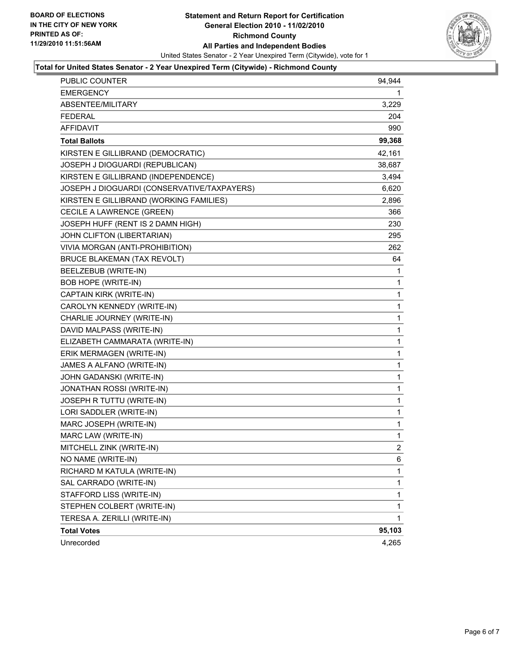

#### **Total for United States Senator - 2 Year Unexpired Term (Citywide) - Richmond County**

| <b>PUBLIC COUNTER</b>                       | 94,944         |
|---------------------------------------------|----------------|
| EMERGENCY                                   | 1              |
| ABSENTEE/MILITARY                           | 3,229          |
| FEDERAL                                     | 204            |
| AFFIDAVIT                                   | 990            |
| <b>Total Ballots</b>                        | 99,368         |
| KIRSTEN E GILLIBRAND (DEMOCRATIC)           | 42,161         |
| JOSEPH J DIOGUARDI (REPUBLICAN)             | 38,687         |
| KIRSTEN E GILLIBRAND (INDEPENDENCE)         | 3,494          |
| JOSEPH J DIOGUARDI (CONSERVATIVE/TAXPAYERS) | 6,620          |
| KIRSTEN E GILLIBRAND (WORKING FAMILIES)     | 2,896          |
| CECILE A LAWRENCE (GREEN)                   | 366            |
| JOSEPH HUFF (RENT IS 2 DAMN HIGH)           | 230            |
| JOHN CLIFTON (LIBERTARIAN)                  | 295            |
| VIVIA MORGAN (ANTI-PROHIBITION)             | 262            |
| <b>BRUCE BLAKEMAN (TAX REVOLT)</b>          | 64             |
| BEELZEBUB (WRITE-IN)                        | 1              |
| <b>BOB HOPE (WRITE-IN)</b>                  | 1              |
| CAPTAIN KIRK (WRITE-IN)                     | 1              |
| CAROLYN KENNEDY (WRITE-IN)                  | 1              |
| CHARLIE JOURNEY (WRITE-IN)                  | 1              |
| DAVID MALPASS (WRITE-IN)                    | 1              |
| ELIZABETH CAMMARATA (WRITE-IN)              | 1              |
| ERIK MERMAGEN (WRITE-IN)                    | 1              |
| JAMES A ALFANO (WRITE-IN)                   | 1              |
| JOHN GADANSKI (WRITE-IN)                    | 1              |
| JONATHAN ROSSI (WRITE-IN)                   | 1              |
| JOSEPH R TUTTU (WRITE-IN)                   | 1              |
| LORI SADDLER (WRITE-IN)                     | 1              |
| MARC JOSEPH (WRITE-IN)                      | 1              |
| MARC LAW (WRITE-IN)                         | 1              |
| MITCHELL ZINK (WRITE-IN)                    | $\overline{c}$ |
| NO NAME (WRITE-IN)                          | 6              |
| RICHARD M KATULA (WRITE-IN)                 | 1              |
| SAL CARRADO (WRITE-IN)                      | 1              |
| STAFFORD LISS (WRITE-IN)                    | 1              |
| STEPHEN COLBERT (WRITE-IN)                  | 1              |
| TERESA A. ZERILLI (WRITE-IN)                | 1              |
| <b>Total Votes</b>                          | 95,103         |
| Unrecorded                                  | 4,265          |